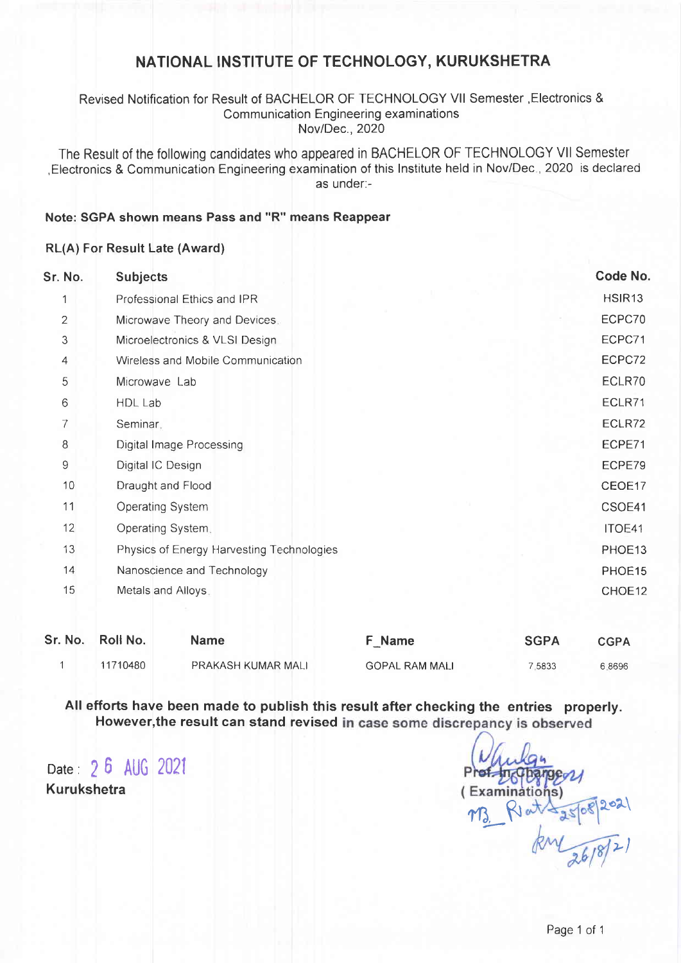## NATIONAL INSTITUTE OF TECHNOLOGY, KURUKSHETRA

### Revised Notification for Result of BACHELOR OF TECHNOLOGY Vll Semester ,Electronics & Communication Engineering examinations Nov/Dec., 2020

The Result of the following candidates who appeared in BACHELOR OF TECHNOLOGY Vll Semester , Electronics & Communication Engineering examination of this Institute held in Nov/Dec., 2020 is declared as under.-

## Note: SGPA shown means Pass and "R" means Reappear

#### RL(A) For Result Late (Award)

| Sr. No.      | <b>Subjects</b>                           | Code No.           |
|--------------|-------------------------------------------|--------------------|
|              | Professional Ethics and IPR               | HSIR <sub>13</sub> |
| $\mathbf{2}$ | Microwave Theory and Devices.             | ECPC70             |
| 3            | Microelectronics & VLSI Design            | ECPC71             |
| 4            | Wireless and Mobile Communication         | ECPC72             |
| 5            | Microwave Lab                             | ECLR70             |
| 6            | HDL Lab                                   | ECLR71             |
| 7            | Seminar,                                  | ECLR72             |
| 8            | Digital Image Processing                  | ECPE71             |
| 9            | Digital IC Design                         | ECPE79             |
| 10           | Draught and Flood                         | CEOE17             |
| 11           | Operating System                          | CSOE41             |
| 12           | Operating System.                         | ITOE41             |
| 13           | Physics of Energy Harvesting Technologies | PHOE13             |
| 14           | Nanoscience and Technology                | PHOE15             |
| 15           | Metals and Alloys.                        | CHOE12             |
|              |                                           |                    |

| Sr. No. Roll No. | <b>Name</b>        | F Name                | <b>SGPA</b> | <b>CGPA</b> |
|------------------|--------------------|-----------------------|-------------|-------------|
| 11710480         | PRAKASH KUMAR MALI | <b>GOPAL RAM MALI</b> | 7.5833      | 6.8696      |

All efforts have been made to publish this result after checking the entries properly. However, the result can stand revised in case some discrepancy is observed

Date: 26 AUG <sup>2021</sup> Kurukshetra

 $2$ 02 $\mid$ >) m3\_R